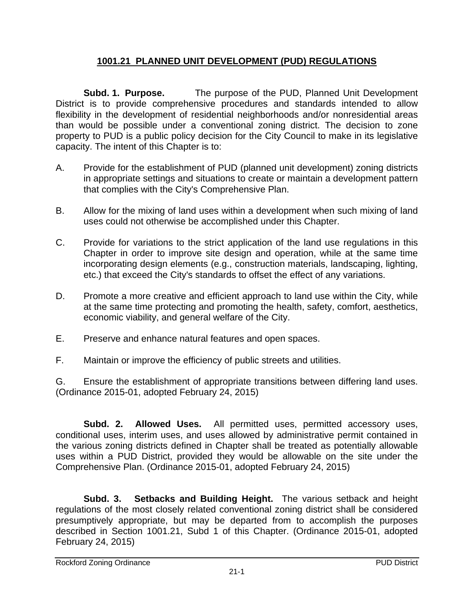## **1001.21 PLANNED UNIT DEVELOPMENT (PUD) REGULATIONS**

**Subd. 1. Purpose.** The purpose of the PUD, Planned Unit Development District is to provide comprehensive procedures and standards intended to allow flexibility in the development of residential neighborhoods and/or nonresidential areas than would be possible under a conventional zoning district. The decision to zone property to PUD is a public policy decision for the City Council to make in its legislative capacity. The intent of this Chapter is to:

- A. Provide for the establishment of PUD (planned unit development) zoning districts in appropriate settings and situations to create or maintain a development pattern that complies with the City's Comprehensive Plan.
- B. Allow for the mixing of land uses within a development when such mixing of land uses could not otherwise be accomplished under this Chapter.
- C. Provide for variations to the strict application of the land use regulations in this Chapter in order to improve site design and operation, while at the same time incorporating design elements (e.g., construction materials, landscaping, lighting, etc.) that exceed the City's standards to offset the effect of any variations.
- D. Promote a more creative and efficient approach to land use within the City, while at the same time protecting and promoting the health, safety, comfort, aesthetics, economic viability, and general welfare of the City.
- E. Preserve and enhance natural features and open spaces.
- F. Maintain or improve the efficiency of public streets and utilities.

G. Ensure the establishment of appropriate transitions between differing land uses. (Ordinance 2015-01, adopted February 24, 2015)

**Subd. 2. Allowed Uses.** All permitted uses, permitted accessory uses, conditional uses, interim uses, and uses allowed by administrative permit contained in the various zoning districts defined in Chapter shall be treated as potentially allowable uses within a PUD District, provided they would be allowable on the site under the Comprehensive Plan. (Ordinance 2015-01, adopted February 24, 2015)

**Subd. 3. Setbacks and Building Height.** The various setback and height regulations of the most closely related conventional zoning district shall be considered presumptively appropriate, but may be departed from to accomplish the purposes described in Section 1001.21, Subd 1 of this Chapter. (Ordinance 2015-01, adopted February 24, 2015)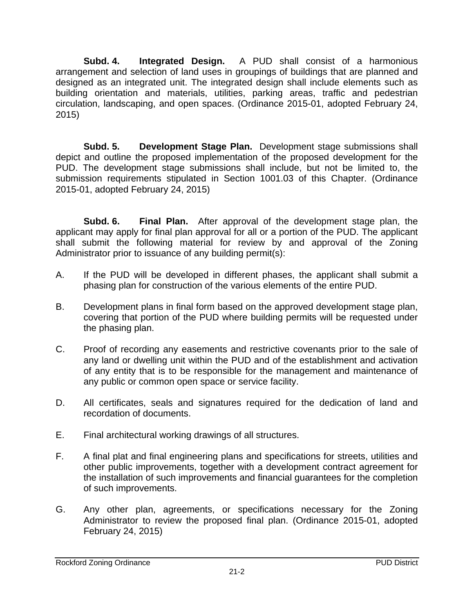**Subd. 4. Integrated Design.** A PUD shall consist of a harmonious arrangement and selection of land uses in groupings of buildings that are planned and designed as an integrated unit. The integrated design shall include elements such as building orientation and materials, utilities, parking areas, traffic and pedestrian circulation, landscaping, and open spaces. (Ordinance 2015-01, adopted February 24, 2015)

**Subd. 5. Development Stage Plan.** Development stage submissions shall depict and outline the proposed implementation of the proposed development for the PUD. The development stage submissions shall include, but not be limited to, the submission requirements stipulated in Section 1001.03 of this Chapter. (Ordinance 2015-01, adopted February 24, 2015)

**Subd. 6. Final Plan.** After approval of the development stage plan, the applicant may apply for final plan approval for all or a portion of the PUD. The applicant shall submit the following material for review by and approval of the Zoning Administrator prior to issuance of any building permit(s):

- A. If the PUD will be developed in different phases, the applicant shall submit a phasing plan for construction of the various elements of the entire PUD.
- B. Development plans in final form based on the approved development stage plan, covering that portion of the PUD where building permits will be requested under the phasing plan.
- C. Proof of recording any easements and restrictive covenants prior to the sale of any land or dwelling unit within the PUD and of the establishment and activation of any entity that is to be responsible for the management and maintenance of any public or common open space or service facility.
- D. All certificates, seals and signatures required for the dedication of land and recordation of documents.
- E. Final architectural working drawings of all structures.
- F. A final plat and final engineering plans and specifications for streets, utilities and other public improvements, together with a development contract agreement for the installation of such improvements and financial guarantees for the completion of such improvements.
- G. Any other plan, agreements, or specifications necessary for the Zoning Administrator to review the proposed final plan. (Ordinance 2015-01, adopted February 24, 2015)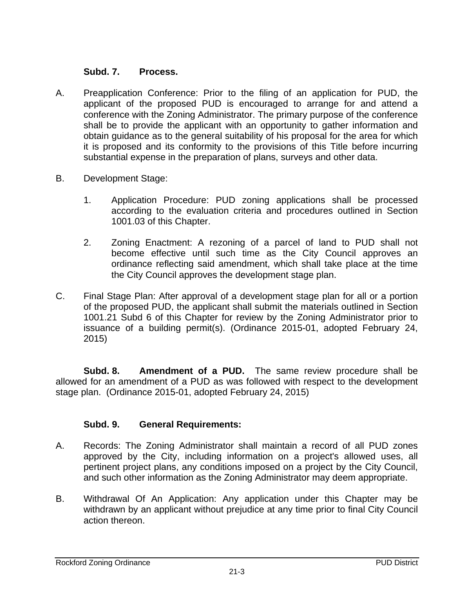## **Subd. 7. Process.**

- A. Preapplication Conference: Prior to the filing of an application for PUD, the applicant of the proposed PUD is encouraged to arrange for and attend a conference with the Zoning Administrator. The primary purpose of the conference shall be to provide the applicant with an opportunity to gather information and obtain guidance as to the general suitability of his proposal for the area for which it is proposed and its conformity to the provisions of this Title before incurring substantial expense in the preparation of plans, surveys and other data.
- B. Development Stage:
	- 1. Application Procedure: PUD zoning applications shall be processed according to the evaluation criteria and procedures outlined in Section 1001.03 of this Chapter.
	- 2. Zoning Enactment: A rezoning of a parcel of land to PUD shall not become effective until such time as the City Council approves an ordinance reflecting said amendment, which shall take place at the time the City Council approves the development stage plan.
- C. Final Stage Plan: After approval of a development stage plan for all or a portion of the proposed PUD, the applicant shall submit the materials outlined in Section 1001.21 Subd 6 of this Chapter for review by the Zoning Administrator prior to issuance of a building permit(s). (Ordinance 2015-01, adopted February 24, 2015)

**Subd. 8. Amendment of a PUD.** The same review procedure shall be allowed for an amendment of a PUD as was followed with respect to the development stage plan. (Ordinance 2015-01, adopted February 24, 2015)

## **Subd. 9. General Requirements:**

- A. Records: The Zoning Administrator shall maintain a record of all PUD zones approved by the City, including information on a project's allowed uses, all pertinent project plans, any conditions imposed on a project by the City Council, and such other information as the Zoning Administrator may deem appropriate.
- B. Withdrawal Of An Application: Any application under this Chapter may be withdrawn by an applicant without prejudice at any time prior to final City Council action thereon.